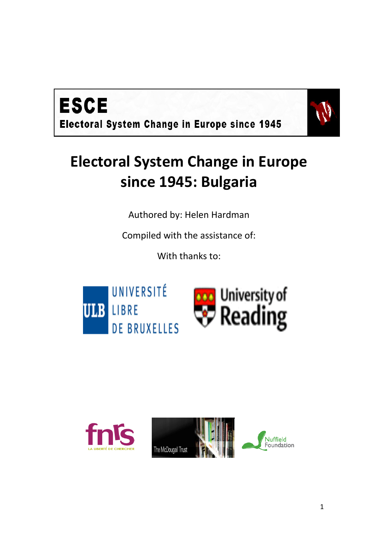



# **Electoral System Change in Europe since 1945: Bulgaria**

Authored by: Helen Hardman

Compiled with the assistance of:

With thanks to:



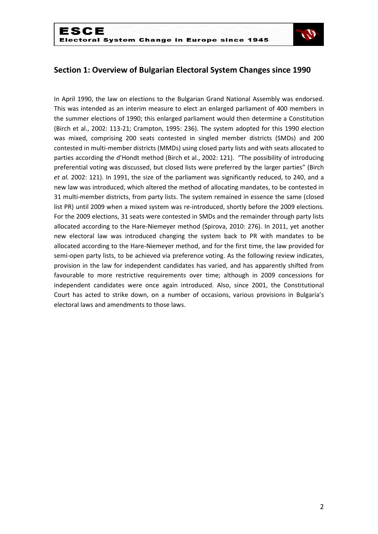

## **Section 1: Overview of Bulgarian Electoral System Changes since 1990**

In April 1990, the law on elections to the Bulgarian Grand National Assembly was endorsed. This was intended as an interim measure to elect an enlarged parliament of 400 members in the summer elections of 1990; this enlarged parliament would then determine a Constitution (Birch et al., 2002: 113-21; Crampton, 1995: 236). The system adopted for this 1990 election was mixed, comprising 200 seats contested in singled member districts (SMDs) and 200 contested in multi-member districts (MMDs) using closed party lists and with seats allocated to parties according the d'Hondt method (Birch et al., 2002: 121). "The possibility of introducing preferential voting was discussed, but closed lists were preferred by the larger parties" (Birch *et al.* 2002: 121). In 1991, the size of the parliament was significantly reduced, to 240, and a new law was introduced, which altered the method of allocating mandates, to be contested in 31 multi-member districts, from party lists. The system remained in essence the same (closed list PR) until 2009 when a mixed system was re-introduced, shortly before the 2009 elections. For the 2009 elections, 31 seats were contested in SMDs and the remainder through party lists allocated according to the Hare-Niemeyer method (Spirova, 2010: 276). In 2011, yet another new electoral law was introduced changing the system back to PR with mandates to be allocated according to the Hare-Niemeyer method, and for the first time, the law provided for semi-open party lists, to be achieved via preference voting. As the following review indicates, provision in the law for independent candidates has varied, and has apparently shifted from favourable to more restrictive requirements over time; although in 2009 concessions for independent candidates were once again introduced. Also, since 2001, the Constitutional Court has acted to strike down, on a number of occasions, various provisions in Bulgaria's electoral laws and amendments to those laws.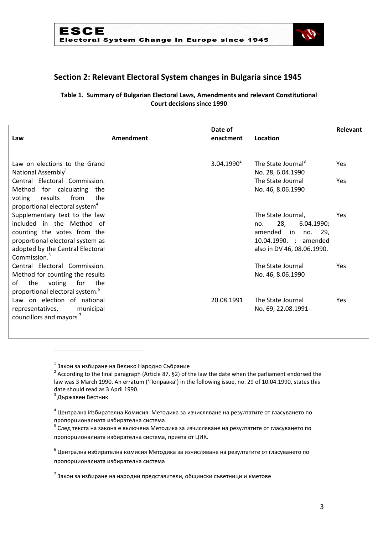

# **Section 2: Relevant Electoral System changes in Bulgaria since 1945**

## **Table 1. Summary of Bulgarian Electoral Laws, Amendments and relevant Constitutional Court decisions since 1990**

| Law                                                                                                                                                                                           | Amendment | Date of<br>enactment | Location                                                                                                                       | Relevant   |
|-----------------------------------------------------------------------------------------------------------------------------------------------------------------------------------------------|-----------|----------------------|--------------------------------------------------------------------------------------------------------------------------------|------------|
| Law on elections to the Grand<br>National Assembly <sup>1</sup>                                                                                                                               |           | $3.04.1990^2$        | The State Journal <sup>3</sup><br>No. 28, 6.04.1990                                                                            | <b>Yes</b> |
| Central Electoral Commission.<br>Method for calculating the<br>results<br>from<br>voting<br>the<br>proportional electoral system <sup>4</sup>                                                 |           |                      | The State Journal<br>No. 46, 8.06.1990                                                                                         | Yes        |
| Supplementary text to the law<br>included in the Method of<br>counting the votes from the<br>proportional electoral system as<br>adopted by the Central Electoral<br>Commission. <sup>5</sup> |           |                      | The State Journal,<br>28,<br>6.04.1990;<br>no.<br>amended in<br>no. 29.<br>10.04.1990. ; amended<br>also in DV 46, 08.06.1990. | Yes        |
| Central Electoral Commission.<br>Method for counting the results<br>οf<br>the<br>voting for<br>the<br>proportional electoral system. <sup>6</sup>                                             |           |                      | The State Journal<br>No. 46, 8.06.1990                                                                                         | <b>Yes</b> |
| Law on election of national<br>representatives,<br>municipal<br>councillors and mayors '                                                                                                      |           | 20.08.1991           | The State Journal<br>No. 69, 22.08.1991                                                                                        | Yes        |

 $^1$  Закон за избиране на Велико Народно Събрание

<sup>3</sup> Държавен Вестник

**.** 

 $^6$  Централна избирателна комисия Методика за изчисляване на резултатите от гласуването по пропорционалната избирателна система

<sup>&</sup>lt;sup>2</sup> According to the final paragraph (Article 87, §2) of the law the date when the parliament endorsed the law was 3 March 1990. An erratum ('Поправка') in the following issue, no. 29 of 10.04.1990, states this date should read as 3 April 1990.

 $^4$  Централна Избирателна Комисия. Методика за изчисляване на резултатите от гласуването по пропорционалната избирателна система

 $^{\text{\tiny{5}}}$  След текста на закона е включена Методика за изчисляване на резултатите от гласуването по пропорционалната избирателна система, приета от ЦИК.

 $^{7}$ Закон за избиране на народни представители, общински съветници и кметове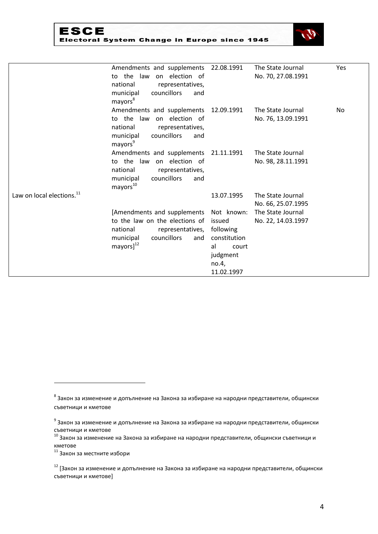| ESCE                                         |  |
|----------------------------------------------|--|
| Electoral System Change in Europe since 1945 |  |



|                                       | Amendments and supplements 22.08.1991<br>to the law<br>on election of<br>national<br>representatives,<br>municipal<br>councillors<br>and<br>mayors <sup>8</sup>        |                                                                                       | The State Journal<br>No. 70, 27.08.1991 | Yes |
|---------------------------------------|------------------------------------------------------------------------------------------------------------------------------------------------------------------------|---------------------------------------------------------------------------------------|-----------------------------------------|-----|
|                                       | Amendments and supplements 12.09.1991<br>to the law<br>on election of<br>national<br>representatives,<br>councillors<br>municipal<br>and<br>mayors <sup>9</sup>        |                                                                                       | The State Journal<br>No. 76, 13.09.1991 | No. |
|                                       | Amendments and supplements 21.11.1991<br>to the law<br>on election of<br>national<br>representatives,<br>municipal<br>councillors<br>and<br>mayors <sup>10</sup>       |                                                                                       | The State Journal<br>No. 98, 28.11.1991 |     |
| Law on local elections. <sup>11</sup> |                                                                                                                                                                        | 13.07.1995                                                                            | The State Journal<br>No. 66, 25.07.1995 |     |
|                                       | [Amendments and supplements Not known:<br>to the law on the elections of<br>national<br>representatives,<br>municipal<br>councillors<br>and<br>$mayors]$ <sup>12</sup> | issued<br>following<br>constitution<br>al<br>court<br>judgment<br>no.4,<br>11.02.1997 | The State Journal<br>No. 22, 14.03.1997 |     |

 $^8$  Закон за изменение и допълнение на Закона за избиране на народни представители, общински съветници и кметове

 $^{9}$  Закон за изменение и допълнение на Закона за избиране на народни представители, общински съветници и кметове

 $^{10}$  Закон за изменение на Закона за избиране на народни представители, общински съветници и кметове

 $11$  Закон за местните избори

 $12$  [Закон за изменение и допълнение на Закона за избиране на народни представители, общински съветници и кметове]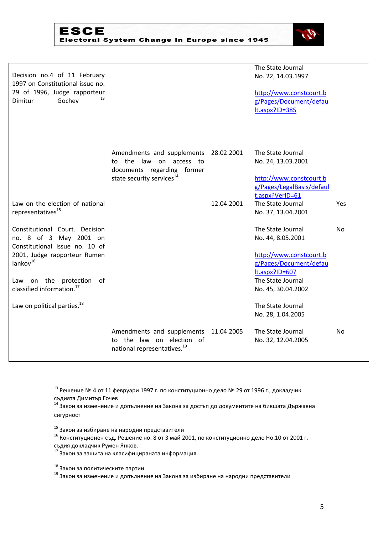

| <b>ESCE</b>                                  |  |
|----------------------------------------------|--|
| Electoral System Change in Europe since 1945 |  |

| Decision no.4 of 11 February<br>1997 on Constitutional issue no.<br>29 of 1996, Judge rapporteur<br>13<br>Gochev<br>Dimitur                                                                                                                                        |                                                                                                                                            |            | The State Journal<br>No. 22, 14.03.1997<br>http://www.constcourt.b<br>g/Pages/Document/defau<br>It.aspx?ID=385                                                                                     |           |
|--------------------------------------------------------------------------------------------------------------------------------------------------------------------------------------------------------------------------------------------------------------------|--------------------------------------------------------------------------------------------------------------------------------------------|------------|----------------------------------------------------------------------------------------------------------------------------------------------------------------------------------------------------|-----------|
|                                                                                                                                                                                                                                                                    | Amendments and supplements 28.02.2001<br>to the<br>law on access to<br>documents regarding former<br>state security services <sup>14</sup> |            | The State Journal<br>No. 24, 13.03.2001<br>http://www.constcourt.b<br>g/Pages/LegalBasis/defaul                                                                                                    |           |
| Law on the election of national<br>representatives <sup>15</sup>                                                                                                                                                                                                   |                                                                                                                                            | 12.04.2001 | t.aspx?VerID=61<br>The State Journal<br>No. 37, 13.04.2001                                                                                                                                         | Yes       |
| Constitutional Court. Decision<br>no. 8 of 3 May 2001 on<br>Constitutional Issue no. 10 of<br>2001, Judge rapporteur Rumen<br>lankov <sup>16</sup><br>Law on the protection of<br>classified information. <sup>17</sup><br>Law on political parties. <sup>18</sup> |                                                                                                                                            |            | The State Journal<br>No. 44, 8.05.2001<br>http://www.constcourt.b<br>g/Pages/Document/defau<br>lt.aspx?ID=607<br>The State Journal<br>No. 45, 30.04.2002<br>The State Journal<br>No. 28, 1.04.2005 | <b>No</b> |
|                                                                                                                                                                                                                                                                    | Amendments and supplements<br>law on election of<br>the<br>to<br>national representatives. <sup>19</sup>                                   | 11.04.2005 | The State Journal<br>No. 32, 12.04.2005                                                                                                                                                            | No        |

<sup>13</sup> Решение № 4 от 11 февруари 1997 г. по конституционно дело № 29 от 1996 г., докладчик съдията Димитър Гочев

 $^{14}$  Закон за изменение и допълнение на Закона за достъп до документите на бившата Държавна сигурност

<sup>15</sup> Закон за избиране на народни представители

 $^{\rm 16}$  Конституционен съд. Решение но. 8 от 3 май 2001, по конституционно дело Но.10 от 2001 г. съдия докладчик Румен Янков.

<sup>17</sup> Закон за защита на класифицираната информация

<sup>&</sup>lt;sup>18</sup> Закон за политическите партии

 $^{19}$  Закон за изменение и допълнение на Закона за избиране на народни представители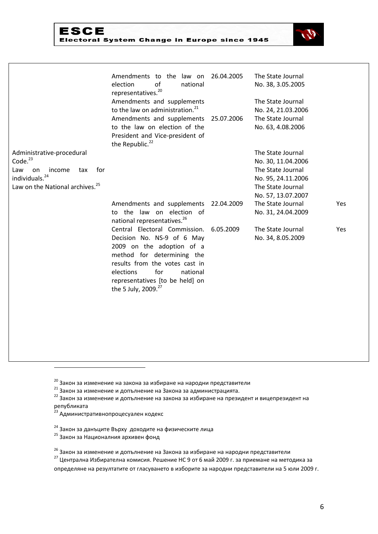## **ESCE** Electoral System Change in Europe since 1945



| The State Journal<br>Administrative-procedural<br>Code. <sup>23</sup><br>No. 30, 11.04.2006<br>for<br>The State Journal<br>Law<br>income<br>on<br>tax<br>individuals. <sup>24</sup><br>No. 95, 24.11.2006<br>Law on the National archives. <sup>25</sup><br>The State Journal<br>No. 57, 13.07.2007<br>Amendments and supplements<br>The State Journal<br>22.04.2009<br>Yes<br>to the law on election of<br>No. 31, 24.04.2009<br>national representatives. <sup>26</sup><br>Central Electoral Commission.<br>6.05.2009<br>The State Journal<br>Yes<br>Decision No. NS-9 of 6 May<br>No. 34, 8.05.2009<br>2009 on the adoption of a<br>method for determining the<br>results from the votes cast in<br>for<br>elections<br>national<br>representatives [to be held] on<br>the 5 July, 2009. <sup>27</sup> | Amendments to the law on<br>of<br>election<br>national<br>representatives. <sup>20</sup><br>Amendments and supplements<br>to the law on administration. <sup>21</sup><br>Amendments and supplements<br>to the law on election of the<br>President and Vice-president of<br>the Republic. <sup>22</sup> | 26.04.2005<br>25.07.2006 | The State Journal<br>No. 38, 3.05.2005<br>The State Journal<br>No. 24, 21.03.2006<br>The State Journal<br>No. 63, 4.08.2006 |  |
|-----------------------------------------------------------------------------------------------------------------------------------------------------------------------------------------------------------------------------------------------------------------------------------------------------------------------------------------------------------------------------------------------------------------------------------------------------------------------------------------------------------------------------------------------------------------------------------------------------------------------------------------------------------------------------------------------------------------------------------------------------------------------------------------------------------|--------------------------------------------------------------------------------------------------------------------------------------------------------------------------------------------------------------------------------------------------------------------------------------------------------|--------------------------|-----------------------------------------------------------------------------------------------------------------------------|--|
|                                                                                                                                                                                                                                                                                                                                                                                                                                                                                                                                                                                                                                                                                                                                                                                                           |                                                                                                                                                                                                                                                                                                        |                          |                                                                                                                             |  |
|                                                                                                                                                                                                                                                                                                                                                                                                                                                                                                                                                                                                                                                                                                                                                                                                           |                                                                                                                                                                                                                                                                                                        |                          |                                                                                                                             |  |
|                                                                                                                                                                                                                                                                                                                                                                                                                                                                                                                                                                                                                                                                                                                                                                                                           |                                                                                                                                                                                                                                                                                                        |                          |                                                                                                                             |  |
|                                                                                                                                                                                                                                                                                                                                                                                                                                                                                                                                                                                                                                                                                                                                                                                                           |                                                                                                                                                                                                                                                                                                        |                          |                                                                                                                             |  |
|                                                                                                                                                                                                                                                                                                                                                                                                                                                                                                                                                                                                                                                                                                                                                                                                           |                                                                                                                                                                                                                                                                                                        |                          |                                                                                                                             |  |
|                                                                                                                                                                                                                                                                                                                                                                                                                                                                                                                                                                                                                                                                                                                                                                                                           |                                                                                                                                                                                                                                                                                                        |                          |                                                                                                                             |  |
|                                                                                                                                                                                                                                                                                                                                                                                                                                                                                                                                                                                                                                                                                                                                                                                                           |                                                                                                                                                                                                                                                                                                        |                          |                                                                                                                             |  |
|                                                                                                                                                                                                                                                                                                                                                                                                                                                                                                                                                                                                                                                                                                                                                                                                           |                                                                                                                                                                                                                                                                                                        |                          |                                                                                                                             |  |
|                                                                                                                                                                                                                                                                                                                                                                                                                                                                                                                                                                                                                                                                                                                                                                                                           |                                                                                                                                                                                                                                                                                                        |                          |                                                                                                                             |  |
|                                                                                                                                                                                                                                                                                                                                                                                                                                                                                                                                                                                                                                                                                                                                                                                                           |                                                                                                                                                                                                                                                                                                        |                          |                                                                                                                             |  |

<sup>22</sup> Закон за изменение и допълнение на закона за избиране на президент и вицепрезидент на републиката

<sup>23</sup> Административнопроцесуален кодекс

- <sup>24</sup> Закон за данъците Върху доходите на физическите лица
- <sup>25</sup> Закон за Националния архивен фонд

<sup>20</sup> Закон за изменение на закона за избиране на народни представители

 $21$  Закон за изменение и допълнение на Закона за администрацията.

<sup>&</sup>lt;sup>26</sup> Закон за изменение и допълнение на Закона за избиране на народни представители

<sup>27</sup> Централна Избирателна комисия. Решение НС 9 от 6 май 2009 г. за приемане на методика за определяне на резултатите от гласуването в изборите за народни представители на 5 юли 2009 г.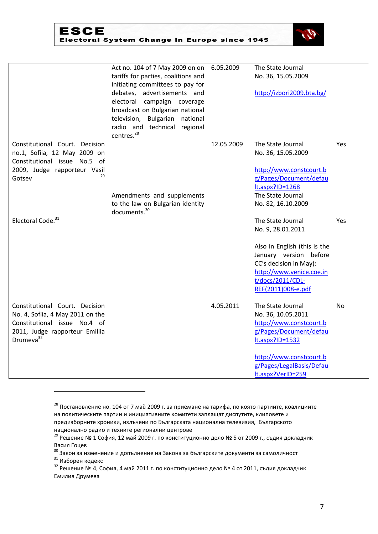| ESCE                                         |  |  |
|----------------------------------------------|--|--|
| Electoral System Change in Europe since 1945 |  |  |



|                                                                                                                                                               | Act no. 104 of 7 May 2009 on on 6.05.2009<br>tariffs for parties, coalitions and<br>initiating committees to pay for<br>debates, advertisements and<br>electoral campaign coverage<br>broadcast on Bulgarian national<br>television, Bulgarian national<br>radio and technical regional<br>centres. <sup>28</sup> |            | The State Journal<br>No. 36, 15.05.2009<br>http://izbori2009.bta.bg/                                                                                                                             |           |
|---------------------------------------------------------------------------------------------------------------------------------------------------------------|-------------------------------------------------------------------------------------------------------------------------------------------------------------------------------------------------------------------------------------------------------------------------------------------------------------------|------------|--------------------------------------------------------------------------------------------------------------------------------------------------------------------------------------------------|-----------|
| Constitutional Court. Decision<br>no.1, Sofiia, 12 May 2009 on<br>Constitutional issue No.5 of<br>2009, Judge rapporteur Vasil<br>29<br>Gotsev                | Amendments and supplements<br>to the law on Bulgarian identity                                                                                                                                                                                                                                                    | 12.05.2009 | The State Journal<br>No. 36, 15.05.2009<br>http://www.constcourt.b<br>g/Pages/Document/defau<br>lt.aspx?ID=1268<br>The State Journal<br>No. 82, 16.10.2009                                       | Yes       |
| Electoral Code. <sup>31</sup>                                                                                                                                 | documents. <sup>30</sup>                                                                                                                                                                                                                                                                                          |            | The State Journal<br>No. 9, 28.01.2011<br>Also in English (this is the<br>January version before<br>CC's decision in May):<br>http://www.venice.coe.in<br>t/docs/2011/CDL-<br>REF(2011)008-e.pdf | Yes       |
| Constitutional Court. Decision<br>No. 4, Sofiia, 4 May 2011 on the<br>Constitutional issue No.4 of<br>2011, Judge rapporteur Emiliia<br>Drumeva <sup>32</sup> |                                                                                                                                                                                                                                                                                                                   | 4.05.2011  | The State Journal<br>No. 36, 10.05.2011<br>http://www.constcourt.b<br>g/Pages/Document/defau<br>$lt.aspx?ID=1532$<br>http://www.constcourt.b<br>g/Pages/LegalBasis/Defau<br>lt.aspx?VerID=259    | <b>No</b> |

 $^{28}$  Постановление но. 104 от 7 май 2009 г. за приемане на тарифа, по която партиите, коалициите на политическите партии и инициативните комитети заплащат диспутите, клиповете и предизборните хроники, излъчени по Българската национална телевизия, Българското национално радио и техните регионални центрове

<sup>&</sup>lt;sup>29</sup> Решение № 1 София, 12 май 2009 г. по конституционно дело № 5 от 2009 г., съдия докладчик Васил Гоцев

 $^{30}$  Закон за изменение и допълнение на Закона за българските документи за самоличност

<sup>31</sup> Изборен кодекс

<sup>&</sup>lt;sup>32</sup> Решение № 4, София, 4 май 2011 г. по конституционно дело № 4 от 2011, съдия докладчик Емилия Друмева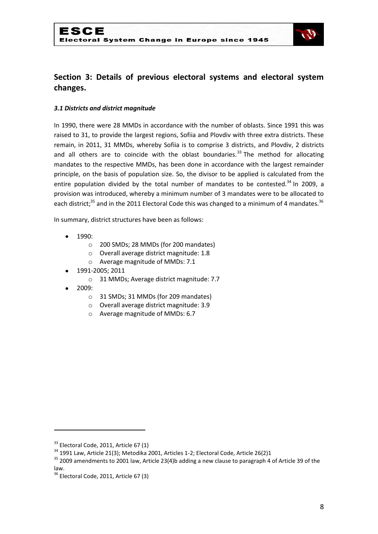

# **Section 3: Details of previous electoral systems and electoral system changes.**

#### *3.1 Districts and district magnitude*

In 1990, there were 28 MMDs in accordance with the number of oblasts. Since 1991 this was raised to 31, to provide the largest regions, Sofiia and Plovdiv with three extra districts. These remain, in 2011, 31 MMDs, whereby Sofiia is to comprise 3 districts, and Plovdiv, 2 districts and all others are to coincide with the oblast boundaries.<sup>33</sup> The method for allocating mandates to the respective MMDs, has been done in accordance with the largest remainder principle, on the basis of population size. So, the divisor to be applied is calculated from the entire population divided by the total number of mandates to be contested.<sup>34</sup> In 2009, a provision was introduced, whereby a minimum number of 3 mandates were to be allocated to each district;<sup>35</sup> and in the 2011 Electoral Code this was changed to a minimum of 4 mandates.<sup>36</sup>

In summary, district structures have been as follows:

- 1990:
	- o 200 SMDs; 28 MMDs (for 200 mandates)
	- o Overall average district magnitude: 1.8
	- o Average magnitude of MMDs: 7.1
- 1991-2005; 2011
	- o 31 MMDs; Average district magnitude: 7.7
- 2009:
	- o 31 SMDs; 31 MMDs (for 209 mandates)
	- o Overall average district magnitude: 3.9
	- o Average magnitude of MMDs: 6.7

 $33$  Electoral Code, 2011, Article 67 (1)

<sup>&</sup>lt;sup>34</sup> 1991 Law, Article 21(3); Metodika 2001, Articles 1-2; Electoral Code, Article 26(2)1

 $35$  2009 amendments to 2001 law, Article 23(4)b adding a new clause to paragraph 4 of Article 39 of the law.

 $36$  Electoral Code, 2011, Article 67 (3)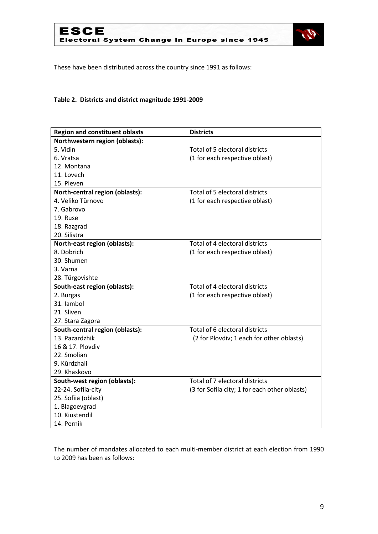



These have been distributed across the country since 1991 as follows:

## **Table 2. Districts and district magnitude 1991-2009**

| <b>Region and constituent oblasts</b> | <b>Districts</b>                              |
|---------------------------------------|-----------------------------------------------|
| Northwestern region (oblasts):        |                                               |
| 5. Vidin                              | Total of 5 electoral districts                |
| 6. Vratsa                             | (1 for each respective oblast)                |
| 12. Montana                           |                                               |
| 11. Lovech                            |                                               |
| 15. Pleven                            |                                               |
| North-central region (oblasts):       | Total of 5 electoral districts                |
| 4. Veliko Tŭrnovo                     | (1 for each respective oblast)                |
| 7. Gabrovo                            |                                               |
| 19. Ruse                              |                                               |
| 18. Razgrad                           |                                               |
| 20. Silistra                          |                                               |
| North-east region (oblasts):          | Total of 4 electoral districts                |
| 8. Dobrich                            | (1 for each respective oblast)                |
| 30. Shumen                            |                                               |
| 3. Varna                              |                                               |
| 28. Türgovishte                       |                                               |
| South-east region (oblasts):          | Total of 4 electoral districts                |
| 2. Burgas                             | (1 for each respective oblast)                |
| 31. lambol                            |                                               |
| 21. Sliven                            |                                               |
| 27. Stara Zagora                      |                                               |
| South-central region (oblasts):       | Total of 6 electoral districts                |
| 13. Pazardzhik                        | (2 for Plovdiv; 1 each for other oblasts)     |
| 16 & 17. Plovdiv                      |                                               |
| 22. Smolian                           |                                               |
| 9. Kürdzhali                          |                                               |
| 29. Khaskovo                          |                                               |
| South-west region (oblasts):          | Total of 7 electoral districts                |
| 22-24. Sofiia-city                    | (3 for Sofiia city; 1 for each other oblasts) |
| 25. Sofiia (oblast)                   |                                               |
| 1. Blagoevgrad                        |                                               |
| 10. Kiustendil                        |                                               |
| 14. Pernik                            |                                               |

The number of mandates allocated to each multi-member district at each election from 1990 to 2009 has been as follows: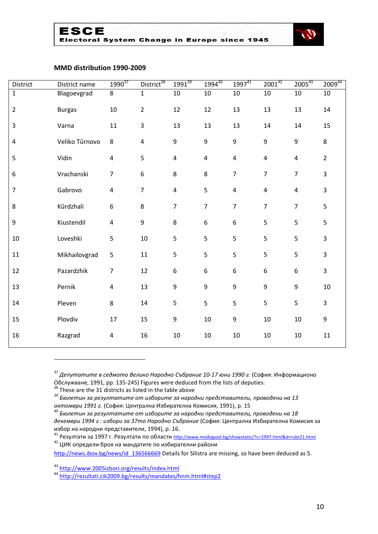



#### **MMD distribution 1990-2009**

| District                | District name  | $1990^{37}$             | District <sup>38</sup>  | $1991^{39}$      | $1994^{40}$             | $1997^{41}$      | $2001^{42}$             | $2005^{43}$             | $2009^{44}$      |
|-------------------------|----------------|-------------------------|-------------------------|------------------|-------------------------|------------------|-------------------------|-------------------------|------------------|
| $\mathbf{1}$            | Blagoevgrad    | 8                       | $\mathbf 1$             | 10               | $10\,$                  | $10\,$           | 10                      | $10\,$                  | $10\,$           |
| $\overline{2}$          | <b>Burgas</b>  | 10                      | $\overline{2}$          | 12               | 12                      | 13               | 13                      | 13                      | 14               |
| 3                       | Varna          | 11                      | $\overline{3}$          | 13               | 13                      | 13               | 14                      | 14                      | 15               |
| $\overline{\mathbf{4}}$ | Veliko Tŭrnovo | 8                       | $\overline{\mathbf{4}}$ | $\boldsymbol{9}$ | 9                       | $\boldsymbol{9}$ | 9                       | 9                       | 8                |
| 5                       | Vidin          | $\overline{\mathbf{4}}$ | 5                       | $\overline{4}$   | $\overline{\mathbf{4}}$ | $\overline{4}$   | $\overline{4}$          | $\overline{\mathbf{4}}$ | $\overline{2}$   |
| 6                       | Vrachanski     | $\overline{7}$          | 6                       | 8                | 8                       | $\overline{7}$   | $\overline{7}$          | $\overline{7}$          | 3                |
| $\overline{7}$          | Gabrovo        | $\overline{\mathbf{4}}$ | $\overline{7}$          | $\overline{4}$   | 5                       | $\pmb{4}$        | $\overline{\mathbf{4}}$ | $\overline{\mathbf{4}}$ | $\overline{3}$   |
| 8                       | Kŭrdzhali      | 6                       | 8                       | $\overline{7}$   | $\overline{7}$          | $\overline{7}$   | $\overline{7}$          | $\overline{7}$          | 5                |
| 9                       | Kiustendil     | $\overline{\mathbf{4}}$ | 9                       | $\,8\,$          | 6                       | $\boldsymbol{6}$ | 5                       | 5                       | 5                |
| $10\,$                  | Loveshki       | 5                       | 10                      | 5                | 5                       | 5                | 5                       | 5                       | $\overline{3}$   |
| 11                      | Mikhailovgrad  | 5                       | 11                      | 5                | 5                       | 5                | 5                       | 5                       | $\overline{3}$   |
| 12                      | Pazardzhik     | $\overline{7}$          | 12                      | $\boldsymbol{6}$ | 6                       | $\boldsymbol{6}$ | 6                       | 6                       | 3                |
| 13                      | Pernik         | $\overline{\mathbf{4}}$ | 13                      | $\boldsymbol{9}$ | 9                       | $\boldsymbol{9}$ | 9                       | 9                       | 10               |
| 14                      | Pleven         | 8                       | 14                      | 5                | 5                       | 5                | 5                       | 5                       | $\overline{3}$   |
| 15                      | Plovdiv        | 17                      | 15                      | $\boldsymbol{9}$ | 10                      | $\boldsymbol{9}$ | 10                      | 10                      | $\boldsymbol{9}$ |
| 16                      | Razgrad        | $\overline{\mathbf{4}}$ | 16                      | $10\,$           | 10                      | 10               | $10\,$                  | 10                      | $11\,$           |
|                         |                |                         |                         |                  |                         |                  |                         |                         |                  |

 *Депутатите в седмото Велико Народно Събрание 10-17 юни 1990 г.* (София: Информационо Обслужване, 1991, pp. 135-245) Figures were deduced from the lists of deputies.

These are the 31 districts as listed in the table above

 *Бюлетин за резултатите от изборите за народни представители, проводени на 13 октомври 1991 г.* (София: Централна Избирателна Комисия, 1991), p. 15

 *Бюлетин за резултатите от изборите за народни представители, проводени на 18 декември 1994 г.: избори за 37то Народно Събрание* (София: Централна Избирателна Комисия за избор на народни представители, 1994), p. 16.

 Резултати за 1997 г. Резултати по области <http://www.mediapool.bg/showstatic/?c=1997.html&d=rubr21.html> <sup>42</sup> ЦИК определи броя на мандатите по избирателни райони

[http://news.ibox.bg/news/id\\_136566669](http://news.ibox.bg/news/id_136566669) Details for Silistra are missing, so have been deduced as 5.

<http://www.2005izbori.org/results/index.html>

<http://rezultati.cik2009.bg/results/mandates/hnm.html#step2>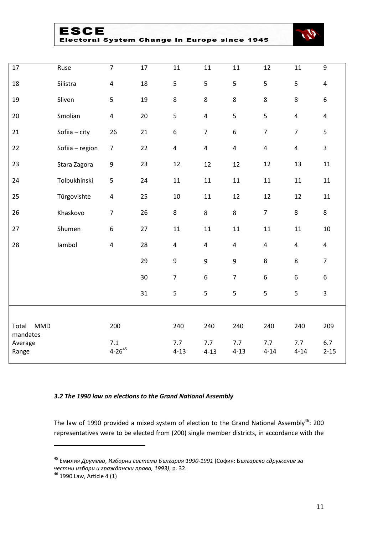| ESCE                                         |  |  |
|----------------------------------------------|--|--|
| Electoral System Change in Europe since 1945 |  |  |



| 17                              | Ruse            | $\overline{7}$          | 17 | $11\,$                  | 11                      | 11                      | 12               | 11                      | $9\,$                   |
|---------------------------------|-----------------|-------------------------|----|-------------------------|-------------------------|-------------------------|------------------|-------------------------|-------------------------|
| 18                              | Silistra        | $\overline{\mathbf{4}}$ | 18 | 5                       | 5                       | 5                       | 5                | 5                       | $\overline{\mathbf{4}}$ |
| 19                              | Sliven          | 5                       | 19 | 8                       | 8                       | $\,8\,$                 | 8                | 8                       | $\boldsymbol{6}$        |
| 20                              | Smolian         | $\overline{\mathbf{4}}$ | 20 | 5                       | $\overline{4}$          | 5                       | 5                | $\overline{\mathbf{4}}$ | $\pmb{4}$               |
| 21                              | Sofiia - city   | 26                      | 21 | 6                       | $\overline{7}$          | $\boldsymbol{6}$        | $\overline{7}$   | $\overline{7}$          | 5                       |
| 22                              | Sofiia - region | $\boldsymbol{7}$        | 22 | $\pmb{4}$               | $\overline{\mathbf{4}}$ | $\pmb{4}$               | $\overline{4}$   | $\overline{\mathbf{4}}$ | $\mathbf{3}$            |
| 23                              | Stara Zagora    | $\boldsymbol{9}$        | 23 | 12                      | 12                      | 12                      | 12               | 13                      | 11                      |
| 24                              | Tolbukhinski    | 5                       | 24 | $11\,$                  | 11                      | 11                      | $11\,$           | $11\,$                  | 11                      |
| 25                              | Tŭrgovishte     | $\overline{\mathbf{4}}$ | 25 | $10\,$                  | 11                      | 12                      | 12               | 12                      | 11                      |
| 26                              | Khaskovo        | $\overline{7}$          | 26 | 8                       | 8                       | $\,8\,$                 | $\overline{7}$   | $\bf 8$                 | $\bf 8$                 |
| 27                              | Shumen          | 6                       | 27 | $11\,$                  | $11\,$                  | 11                      | $11\,$           | $11\,$                  | $10\,$                  |
| 28                              | lambol          | $\overline{\mathbf{4}}$ | 28 | $\overline{\mathbf{4}}$ | $\overline{\mathbf{4}}$ | $\overline{\mathbf{4}}$ | $\overline{4}$   | $\overline{\mathbf{4}}$ | $\overline{4}$          |
|                                 |                 |                         | 29 | $\boldsymbol{9}$        | $\boldsymbol{9}$        | $\boldsymbol{9}$        | $\,8\,$          | 8                       | $\overline{7}$          |
|                                 |                 |                         | 30 | $\overline{7}$          | $\boldsymbol{6}$        | $\overline{7}$          | $\boldsymbol{6}$ | $\boldsymbol{6}$        | $\boldsymbol{6}$        |
|                                 |                 |                         | 31 | 5                       | 5                       | 5                       | 5                | 5                       | 3                       |
|                                 |                 |                         |    |                         |                         |                         |                  |                         |                         |
| <b>MMD</b><br>Total<br>mandates |                 | 200                     |    | 240                     | 240                     | 240                     | 240              | 240                     | 209                     |
| Average<br>Range                |                 | 7.1<br>$4 - 26^{45}$    |    | 7.7<br>$4 - 13$         | 7.7<br>$4 - 13$         | 7.7<br>$4 - 13$         | 7.7<br>$4 - 14$  | 7.7<br>$4 - 14$         | 6.7<br>$2 - 15$         |

#### *3.2 The 1990 law on elections to the Grand National Assembly*

The law of 1990 provided a mixed system of election to the Grand National Assembly<sup>46</sup>: 200 representatives were to be elected from (200) single member districts, in accordance with the

 Емили*я Друмева*, *Изборни системи България 1990-1991* (София: Б*ългарско сдружение за честни избори и граждански права, 1993)*, p. 32.

<sup>&</sup>lt;sup>46</sup> 1990 Law, Article 4 (1)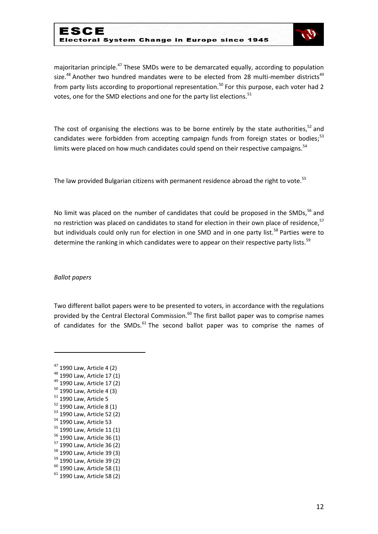## ESCE Electoral System Change in Europe since 1945



majoritarian principle.<sup>47</sup> These SMDs were to be demarcated equally, according to population size. $48$  Another two hundred mandates were to be elected from 28 multi-member districts $49$ from party lists according to proportional representation.<sup>50</sup> For this purpose, each voter had 2 votes, one for the SMD elections and one for the party list elections.<sup>51</sup>

The cost of organising the elections was to be borne entirely by the state authorities,<sup>52</sup> and candidates were forbidden from accepting campaign funds from foreign states or bodies;<sup>53</sup> limits were placed on how much candidates could spend on their respective campaigns.<sup>54</sup>

The law provided Bulgarian citizens with permanent residence abroad the right to vote.<sup>55</sup>

No limit was placed on the number of candidates that could be proposed in the SMDs, $^{56}$  and no restriction was placed on candidates to stand for election in their own place of residence,<sup>57</sup> but individuals could only run for election in one SMD and in one party list.<sup>58</sup> Parties were to determine the ranking in which candidates were to appear on their respective party lists.<sup>59</sup>

#### *Ballot papers*

**.** 

Two different ballot papers were to be presented to voters, in accordance with the regulations provided by the Central Electoral Commission. $60$  The first ballot paper was to comprise names of candidates for the SMDs. $61$  The second ballot paper was to comprise the names of

<sup>47</sup> 1990 Law, Article 4 (2)

 $48$  1990 Law, Article 17 (1)

<sup>&</sup>lt;sup>49</sup> 1990 Law, Article 17 (2)

<sup>50</sup> 1990 Law, Article 4 (3)

 $51$  1990 Law, Article 5

 $52$  1990 Law, Article 8 (1)

<sup>53</sup> 1990 Law, Article 52 (2)

<sup>54</sup> 1990 Law, Article 53

 $55$  1990 Law, Article 11 (1)

<sup>56</sup> 1990 Law, Article 36 (1)

<sup>57</sup> 1990 Law, Article 36 (2)

<sup>58</sup> 1990 Law, Article 39 (3)

<sup>59</sup> 1990 Law, Article 39 (2)

<sup>60</sup> 1990 Law, Article 58 (1)

 $61$  1990 Law, Article 58 (2)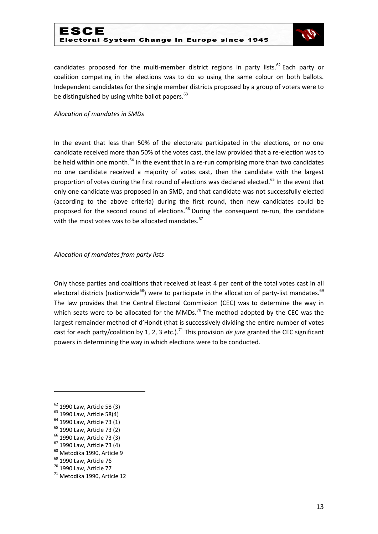## ESCE Electoral System Change in Europe since 1945



candidates proposed for the multi-member district regions in party lists.<sup>62</sup> Each party or coalition competing in the elections was to do so using the same colour on both ballots. Independent candidates for the single member districts proposed by a group of voters were to be distinguished by using white ballot papers. $63$ 

#### *Allocation of mandates in SMDs*

In the event that less than 50% of the electorate participated in the elections, or no one candidate received more than 50% of the votes cast, the law provided that a re-election was to be held within one month.<sup>64</sup> In the event that in a re-run comprising more than two candidates no one candidate received a majority of votes cast, then the candidate with the largest proportion of votes during the first round of elections was declared elected.<sup>65</sup> In the event that only one candidate was proposed in an SMD, and that candidate was not successfully elected (according to the above criteria) during the first round, then new candidates could be proposed for the second round of elections.<sup>66</sup> During the consequent re-run, the candidate with the most votes was to be allocated mandates.<sup>67</sup>

#### *Allocation of mandates from party lists*

Only those parties and coalitions that received at least 4 per cent of the total votes cast in all electoral districts (nationwide<sup>68</sup>) were to participate in the allocation of party-list mandates.<sup>69</sup> The law provides that the Central Electoral Commission (CEC) was to determine the way in which seats were to be allocated for the MMDs.<sup>70</sup> The method adopted by the CEC was the largest remainder method of d'Hondt (that is successively dividing the entire number of votes cast for each party/coalition by 1, 2, 3 etc.).<sup>71</sup> This provision *de jure* granted the CEC significant powers in determining the way in which elections were to be conducted.

**.** 

<sup>65</sup> 1990 Law, Article 73 (2)

 $62$  1990 Law, Article 58 (3)

<sup>&</sup>lt;sup>63</sup> 1990 Law, Article 58(4)

<sup>&</sup>lt;sup>64</sup> 1990 Law, Article 73 (1)

<sup>&</sup>lt;sup>66</sup> 1990 Law, Article 73 (3)

<sup>67</sup> 1990 Law, Article 73 (4)

<sup>&</sup>lt;sup>68</sup> Metodika 1990, Article 9

<sup>&</sup>lt;sup>69</sup> 1990 Law, Article 76

<sup>70</sup> 1990 Law, Article 77

<sup>71</sup> Metodika 1990, Article 12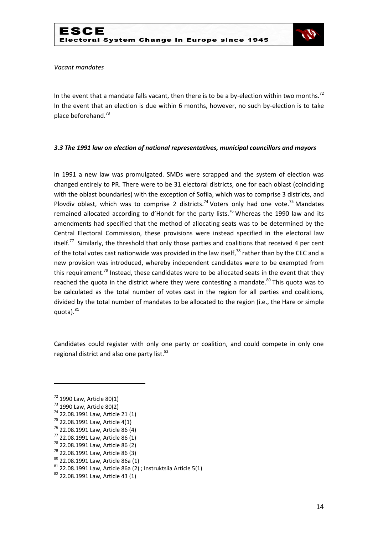

#### *Vacant mandates*

In the event that a mandate falls vacant, then there is to be a by-election within two months.<sup>72</sup> In the event that an election is due within 6 months, however, no such by-election is to take place beforehand.<sup>73</sup>

#### *3.3 The 1991 law on election of national representatives, municipal councillors and mayors*

In 1991 a new law was promulgated. SMDs were scrapped and the system of election was changed entirely to PR. There were to be 31 electoral districts, one for each oblast (coinciding with the oblast boundaries) with the exception of Sofiia, which was to comprise 3 districts, and Plovdiv oblast, which was to comprise 2 districts.<sup>74</sup> Voters only had one vote.<sup>75</sup> Mandates remained allocated according to d'Hondt for the party lists.<sup>76</sup> Whereas the 1990 law and its amendments had specified that the method of allocating seats was to be determined by the Central Electoral Commission, these provisions were instead specified in the electoral law itself.<sup>77</sup> Similarly, the threshold that only those parties and coalitions that received 4 per cent of the total votes cast nationwide was provided in the law itself,<sup>78</sup> rather than by the CEC and a new provision was introduced, whereby independent candidates were to be exempted from this requirement.<sup>79</sup> Instead, these candidates were to be allocated seats in the event that they reached the quota in the district where they were contesting a mandate. $80$  This quota was to be calculated as the total number of votes cast in the region for all parties and coalitions, divided by the total number of mandates to be allocated to the region (i.e., the Hare or simple quota).<sup>81</sup>

Candidates could register with only one party or coalition, and could compete in only one regional district and also one party list.<sup>82</sup>

- $75$  22.08.1991 Law, Article 4(1)
- <sup>76</sup> 22.08.1991 Law, Article 86 (4)
- <sup>77</sup> 22.08.1991 Law, Article 86 (1)
- <sup>78</sup> 22.08.1991 Law, Article 86 (2)
- <sup>79</sup> 22.08.1991 Law, Article 86 (3)
- <sup>80</sup> 22.08.1991 Law, Article 86a (1)
- $81$  22.08.1991 Law, Article 86a (2); Instruktsiia Article 5(1)
- 82 22.08.1991 Law, Article 43 (1)

<sup>72</sup> 1990 Law, Article 80(1)

<sup>73</sup> 1990 Law, Article 80(2)

<sup>74</sup> 22.08.1991 Law, Article 21 (1)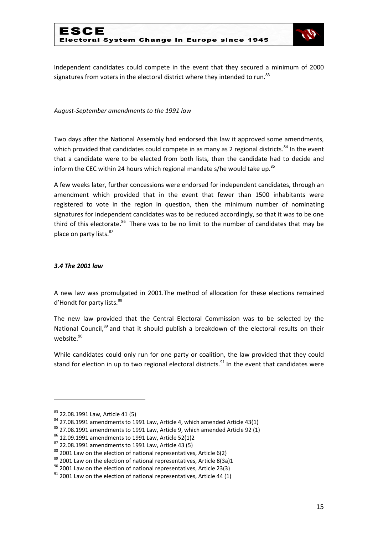

Independent candidates could compete in the event that they secured a minimum of 2000 signatures from voters in the electoral district where they intended to run.<sup>83</sup>

*August-September amendments to the 1991 law*

Two days after the National Assembly had endorsed this law it approved some amendments, which provided that candidates could compete in as many as 2 regional districts.<sup>84</sup> In the event that a candidate were to be elected from both lists, then the candidate had to decide and inform the CEC within 24 hours which regional mandate s/he would take up. $85$ 

A few weeks later, further concessions were endorsed for independent candidates, through an amendment which provided that in the event that fewer than 1500 inhabitants were registered to vote in the region in question, then the minimum number of nominating signatures for independent candidates was to be reduced accordingly, so that it was to be one third of this electorate.<sup>86</sup> There was to be no limit to the number of candidates that may be place on party lists.<sup>87</sup>

#### *3.4 The 2001 law*

A new law was promulgated in 2001.The method of allocation for these elections remained d'Hondt for party lists.<sup>88</sup>

The new law provided that the Central Electoral Commission was to be selected by the National Council,<sup>89</sup> and that it should publish a breakdown of the electoral results on their website.<sup>90</sup>

While candidates could only run for one party or coalition, the law provided that they could stand for election in up to two regional electoral districts.<sup>91</sup> In the event that candidates were

<sup>83 22.08.1991</sup> Law, Article 41 (5)

 $84$  27.08.1991 amendments to 1991 Law, Article 4, which amended Article 43(1)

 $85$  27.08.1991 amendments to 1991 Law, Article 9, which amended Article 92 (1)

 $86$  12.09.1991 amendments to 1991 Law, Article 52(1)2

 $87$  22.08.1991 amendments to 1991 Law, Article 43 (5)

<sup>88 2001</sup> Law on the election of national representatives, Article 6(2)

 $89$  2001 Law on the election of national representatives, Article 8(3a)1

 $90$  2001 Law on the election of national representatives, Article 23(3)

 $91$  2001 Law on the election of national representatives, Article 44 (1)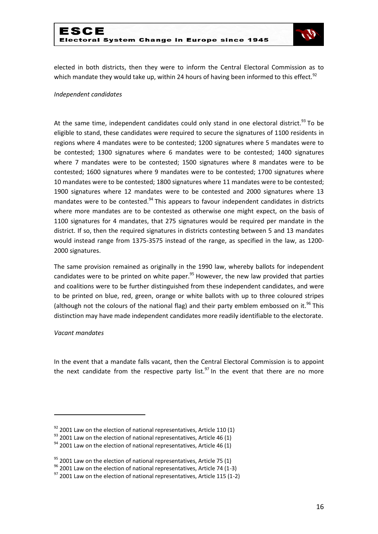

elected in both districts, then they were to inform the Central Electoral Commission as to which mandate they would take up, within 24 hours of having been informed to this effect.<sup>92</sup>

#### *Independent candidates*

At the same time, independent candidates could only stand in one electoral district.<sup>93</sup> To be eligible to stand, these candidates were required to secure the signatures of 1100 residents in regions where 4 mandates were to be contested; 1200 signatures where 5 mandates were to be contested; 1300 signatures where 6 mandates were to be contested; 1400 signatures where 7 mandates were to be contested; 1500 signatures where 8 mandates were to be contested; 1600 signatures where 9 mandates were to be contested; 1700 signatures where 10 mandates were to be contested; 1800 signatures where 11 mandates were to be contested; 1900 signatures where 12 mandates were to be contested and 2000 signatures where 13 mandates were to be contested.<sup>94</sup> This appears to favour independent candidates in districts where more mandates are to be contested as otherwise one might expect, on the basis of 1100 signatures for 4 mandates, that 275 signatures would be required per mandate in the district. If so, then the required signatures in districts contesting between 5 and 13 mandates would instead range from 1375-3575 instead of the range, as specified in the law, as 1200- 2000 signatures.

The same provision remained as originally in the 1990 law, whereby ballots for independent candidates were to be printed on white paper. $95$  However, the new law provided that parties and coalitions were to be further distinguished from these independent candidates, and were to be printed on blue, red, green, orange or white ballots with up to three coloured stripes (although not the colours of the national flag) and their party emblem embossed on it.<sup>96</sup> This distinction may have made independent candidates more readily identifiable to the electorate.

#### *Vacant mandates*

**.** 

In the event that a mandate falls vacant, then the Central Electoral Commission is to appoint the next candidate from the respective party list.<sup>97</sup> In the event that there are no more

 $92$  2001 Law on the election of national representatives, Article 110 (1)

 $93$  2001 Law on the election of national representatives, Article 46 (1)

 $94$  2001 Law on the election of national representatives, Article 46 (1)

 $95$  2001 Law on the election of national representatives, Article 75 (1)

 $96$  2001 Law on the election of national representatives, Article 74 (1-3)

 $97$  2001 Law on the election of national representatives, Article 115 (1-2)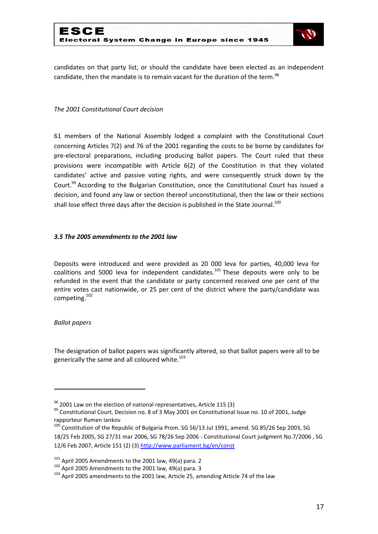

candidates on that party list, or should the candidate have been elected as an independent candidate, then the mandate is to remain vacant for the duration of the term.<sup>98</sup>

#### *The 2001 Constitutional Court decision*

61 members of the National Assembly lodged a complaint with the Constitutional Court concerning Articles 7(2) and 76 of the 2001 regarding the costs to be borne by candidates for pre-electoral preparations, including producing ballot papers. The Court ruled that these provisions were incompatible with Article 6(2) of the Constitution in that they violated candidates' active and passive voting rights, and were consequently struck down by the Court.<sup>99</sup> According to the Bulgarian Constitution, once the Constitutional Court has issued a decision, and found any law or section thereof unconstitutional, then the law or their sections shall lose effect three days after the decision is published in the State Journal.<sup>100</sup>

#### *3.5 The 2005 amendments to the 2001 law*

Deposits were introduced and were provided as 20 000 leva for parties, 40,000 leva for coalitions and 5000 leva for independent candidates.<sup>101</sup> These deposits were only to be refunded in the event that the candidate or party concerned received one per cent of the entire votes cast nationwide, or 25 per cent of the district where the party/candidate was competing.<sup>102</sup>

#### *Ballot papers*

**.** 

The designation of ballot papers was significantly altered, so that ballot papers were all to be generically the same and all coloured white. $103$ 

 $98$  2001 Law on the election of national representatives, Article 115 (3)

 $99$  Constitutional Court. Decision no. 8 of 3 May 2001 on Constitutional Issue no. 10 of 2001, Judge rapporteur Rumen Iankov

<sup>100</sup> Constitution of the Republic of Bulgaria Prom. SG 56/13 Jul 1991, amend. SG 85/26 Sep 2003, SG 18/25 Feb 2005, SG 27/31 mar 2006, SG 78/26 Sep 2006 - Constitutional Court judgment No.7/2006 , SG 12/6 Feb 2007, Article 151 (2) (3) <http://www.parliament.bg/en/const>

 $101$  April 2005 Amendments to the 2001 law, 49(a) para. 2

<sup>102</sup> April 2005 Amendments to the 2001 law, 49(a) para. 3

<sup>&</sup>lt;sup>103</sup> April 2005 amendments to the 2001 law, Article 25, amending Article 74 of the law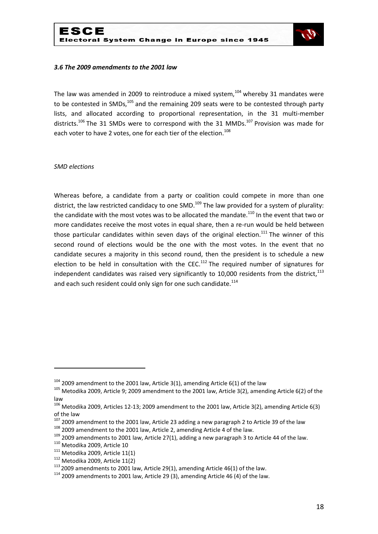

#### *3.6 The 2009 amendments to the 2001 law*

The law was amended in 2009 to reintroduce a mixed system, $104$  whereby 31 mandates were to be contested in SMDs, $105$  and the remaining 209 seats were to be contested through party lists, and allocated according to proportional representation, in the 31 multi-member districts.<sup>106</sup> The 31 SMDs were to correspond with the 31 MMDs.<sup>107</sup> Provision was made for each voter to have 2 votes, one for each tier of the election.<sup>108</sup>

#### *SMD elections*

Whereas before, a candidate from a party or coalition could compete in more than one district, the law restricted candidacy to one SMD.<sup>109</sup> The law provided for a system of plurality: the candidate with the most votes was to be allocated the mandate.<sup>110</sup> In the event that two or more candidates receive the most votes in equal share, then a re-run would be held between those particular candidates within seven days of the original election.<sup>111</sup> The winner of this second round of elections would be the one with the most votes. In the event that no candidate secures a majority in this second round, then the president is to schedule a new election to be held in consultation with the CEC.<sup>112</sup> The required number of signatures for independent candidates was raised very significantly to 10,000 residents from the district, $^{113}$ and each such resident could only sign for one such candidate.<sup>114</sup>

 $108$  2009 amendment to the 2001 law, Article 2, amending Article 4 of the law.

1

 $104$  2009 amendment to the 2001 law, Article 3(1), amending Article 6(1) of the law

<sup>&</sup>lt;sup>105</sup> Metodika 2009, Article 9; 2009 amendment to the 2001 law, Article 3(2), amending Article 6(2) of the law

 $106$  Metodika 2009, Articles 12-13; 2009 amendment to the 2001 law, Article 3(2), amending Article 6(3) of the law

 $107$  2009 amendment to the 2001 law, Article 23 adding a new paragraph 2 to Article 39 of the law

 $109$  2009 amendments to 2001 law, Article 27(1), adding a new paragraph 3 to Article 44 of the law.

<sup>110</sup> Metodika 2009, Article 10

 $111$  Metodika 2009, Article 11(1)

 $112$  Metodika 2009, Article 11(2)

 $113$  2009 amendments to 2001 law, Article 29(1), amending Article 46(1) of the law.

 $114$  2009 amendments to 2001 law, Article 29 (3), amending Article 46 (4) of the law.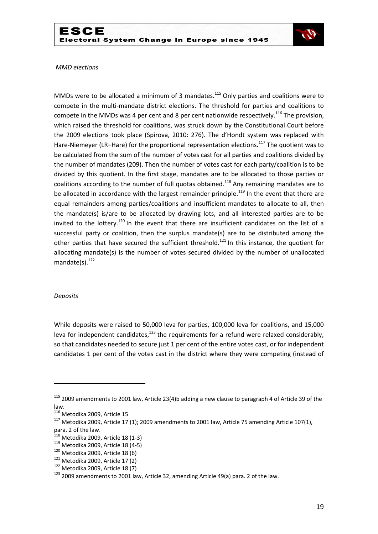

#### *MMD elections*

MMDs were to be allocated a minimum of 3 mandates.<sup>115</sup> Only parties and coalitions were to compete in the multi-mandate district elections. The threshold for parties and coalitions to compete in the MMDs was 4 per cent and 8 per cent nationwide respectively.<sup>116</sup> The provision, which raised the threshold for coalitions, was struck down by the Constitutional Court before the 2009 elections took place (Spirova, 2010: 276). The d'Hondt system was replaced with Hare-Niemeyer (LR–Hare) for the proportional representation elections.<sup>117</sup> The quotient was to be calculated from the sum of the number of votes cast for all parties and coalitions divided by the number of mandates (209). Then the number of votes cast for each party/coalition is to be divided by this quotient. In the first stage, mandates are to be allocated to those parties or coalitions according to the number of full quotas obtained.<sup>118</sup> Any remaining mandates are to be allocated in accordance with the largest remainder principle.<sup>119</sup> In the event that there are equal remainders among parties/coalitions and insufficient mandates to allocate to all, then the mandate(s) is/are to be allocated by drawing lots, and all interested parties are to be invited to the lottery.<sup>120</sup> In the event that there are insufficient candidates on the list of a successful party or coalition, then the surplus mandate(s) are to be distributed among the other parties that have secured the sufficient threshold.<sup>121</sup> In this instance, the quotient for allocating mandate(s) is the number of votes secured divided by the number of unallocated mandate $(s)$ .<sup>122</sup>

#### *Deposits*

1

While deposits were raised to 50,000 leva for parties, 100,000 leva for coalitions, and 15,000 leva for independent candidates, $123$  the requirements for a refund were relaxed considerably, so that candidates needed to secure just 1 per cent of the entire votes cast, or for independent candidates 1 per cent of the votes cast in the district where they were competing (instead of

<sup>&</sup>lt;sup>115</sup> 2009 amendments to 2001 law, Article 23(4)b adding a new clause to paragraph 4 of Article 39 of the law.

<sup>116</sup> Metodika 2009, Article 15

 $117$  Metodika 2009, Article 17 (1); 2009 amendments to 2001 law, Article 75 amending Article 107(1), para. 2 of the law.

<sup>&</sup>lt;sup>118</sup> Metodika 2009, Article 18 (1-3)

<sup>119</sup> Metodika 2009, Article 18 (4-5)

 $120$  Metodika 2009, Article 18 (6)

 $121$  Metodika 2009, Article 17 (2)

 $122$  Metodika 2009, Article 18 (7)

<sup>&</sup>lt;sup>123</sup> 2009 amendments to 2001 law, Article 32, amending Article 49(a) para. 2 of the law.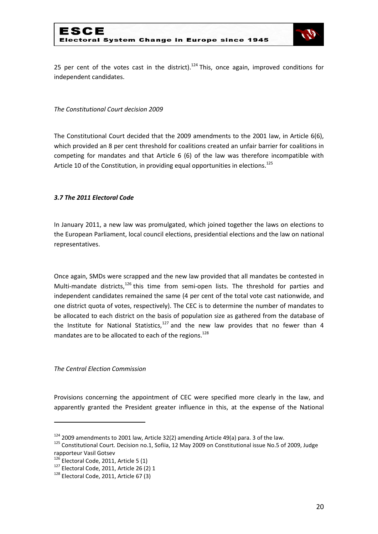

25 per cent of the votes cast in the district).<sup>124</sup> This, once again, improved conditions for independent candidates.

#### *The Constitutional Court decision 2009*

The Constitutional Court decided that the 2009 amendments to the 2001 law, in Article 6(6), which provided an 8 per cent threshold for coalitions created an unfair barrier for coalitions in competing for mandates and that Article 6 (6) of the law was therefore incompatible with Article 10 of the Constitution, in providing equal opportunities in elections.<sup>125</sup>

## *3.7 The 2011 Electoral Code*

In January 2011, a new law was promulgated, which joined together the laws on elections to the European Parliament, local council elections, presidential elections and the law on national representatives.

Once again, SMDs were scrapped and the new law provided that all mandates be contested in Multi-mandate districts, $126$  this time from semi-open lists. The threshold for parties and independent candidates remained the same (4 per cent of the total vote cast nationwide, and one district quota of votes, respectively). The CEC is to determine the number of mandates to be allocated to each district on the basis of population size as gathered from the database of the Institute for National Statistics, $127$  and the new law provides that no fewer than 4 mandates are to be allocated to each of the regions.<sup>128</sup>

#### *The Central Election Commission*

Provisions concerning the appointment of CEC were specified more clearly in the law, and apparently granted the President greater influence in this, at the expense of the National

1

<sup>124</sup> 2009 amendments to 2001 law, Article 32(2) amending Article 49(a) para. 3 of the law.

<sup>&</sup>lt;sup>125</sup> Constitutional Court. Decision no.1, Sofiia, 12 May 2009 on Constitutional issue No.5 of 2009, Judge rapporteur Vasil Gotsev

 $126$  Electoral Code, 2011, Article 5 (1)

<sup>&</sup>lt;sup>127</sup> Electoral Code, 2011, Article 26 (2) 1

<sup>128</sup> Electoral Code, 2011, Article 67 (3)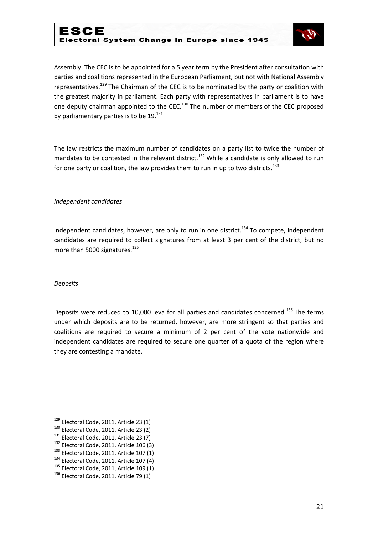

Assembly. The CEC is to be appointed for a 5 year term by the President after consultation with parties and coalitions represented in the European Parliament, but not with National Assembly representatives.<sup>129</sup> The Chairman of the CEC is to be nominated by the party or coalition with the greatest majority in parliament. Each party with representatives in parliament is to have one deputy chairman appointed to the CEC.<sup>130</sup> The number of members of the CEC proposed by parliamentary parties is to be  $19.^{131}$ 

The law restricts the maximum number of candidates on a party list to twice the number of mandates to be contested in the relevant district.<sup>132</sup> While a candidate is only allowed to run for one party or coalition, the law provides them to run in up to two districts.<sup>133</sup>

#### *Independent candidates*

Independent candidates, however, are only to run in one district.<sup>134</sup> To compete, independent candidates are required to collect signatures from at least 3 per cent of the district, but no more than 5000 signatures. $^{135}$ 

#### *Deposits*

1

Deposits were reduced to 10,000 leva for all parties and candidates concerned.<sup>136</sup> The terms under which deposits are to be returned, however, are more stringent so that parties and coalitions are required to secure a minimum of 2 per cent of the vote nationwide and independent candidates are required to secure one quarter of a quota of the region where they are contesting a mandate.

 $129$  Electoral Code, 2011, Article 23 (1)

<sup>130</sup> Electoral Code, 2011, Article 23 (2)

<sup>&</sup>lt;sup>131</sup> Electoral Code, 2011, Article 23 (7)

<sup>132</sup> Electoral Code, 2011, Article 106 (3)

 $133$  Electoral Code, 2011, Article 107 (1)

 $134$  Electoral Code, 2011, Article 107 (4)

<sup>&</sup>lt;sup>135</sup> Electoral Code, 2011, Article 109 (1)

 $136$  Electoral Code, 2011, Article 79 (1)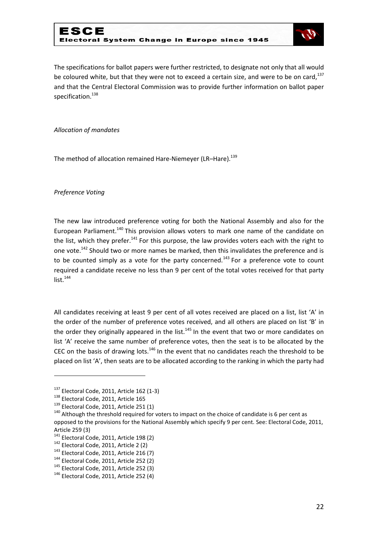

The specifications for ballot papers were further restricted, to designate not only that all would be coloured white, but that they were not to exceed a certain size, and were to be on card,  $137$ and that the Central Electoral Commission was to provide further information on ballot paper specification.<sup>138</sup>

#### *Allocation of mandates*

The method of allocation remained Hare-Niemeyer (LR-Hare).<sup>139</sup>

*Preference Voting*

The new law introduced preference voting for both the National Assembly and also for the European Parliament.<sup>140</sup> This provision allows voters to mark one name of the candidate on the list, which they prefer.<sup>141</sup> For this purpose, the law provides voters each with the right to one vote.<sup>142</sup> Should two or more names be marked, then this invalidates the preference and is to be counted simply as a vote for the party concerned.<sup>143</sup> For a preference vote to count required a candidate receive no less than 9 per cent of the total votes received for that party  $list.<sup>144</sup>$ 

All candidates receiving at least 9 per cent of all votes received are placed on a list, list 'A' in the order of the number of preference votes received, and all others are placed on list 'B' in the order they originally appeared in the list.<sup>145</sup> In the event that two or more candidates on list 'A' receive the same number of preference votes, then the seat is to be allocated by the CEC on the basis of drawing lots. $146$  In the event that no candidates reach the threshold to be placed on list 'A', then seats are to be allocated according to the ranking in which the party had

 $137$  Electoral Code, 2011, Article 162 (1-3)

<sup>138</sup> Electoral Code, 2011, Article 165

<sup>139</sup> Electoral Code, 2011, Article 251 (1)

<sup>&</sup>lt;sup>140</sup> Although the threshold required for voters to impact on the choice of candidate is 6 per cent as opposed to the provisions for the National Assembly which specify 9 per cent. See: Electoral Code, 2011, Article 259 (3)

<sup>&</sup>lt;sup>141</sup> Electoral Code, 2011, Article 198 (2)

<sup>142</sup> Electoral Code, 2011, Article 2 (2)

 $143$  Electoral Code, 2011, Article 216 (7)

<sup>&</sup>lt;sup>144</sup> Electoral Code, 2011, Article 252 (2)

<sup>145</sup> Electoral Code, 2011, Article 252 (3)

<sup>146</sup> Electoral Code, 2011, Article 252 (4)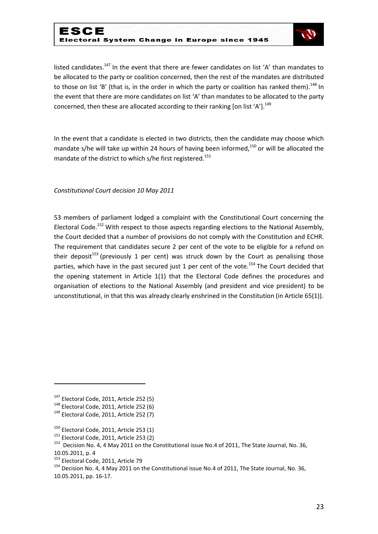## ESCE Electoral System Change in Europe since 1945



listed candidates.<sup>147</sup> In the event that there are fewer candidates on list 'A' than mandates to be allocated to the party or coalition concerned, then the rest of the mandates are distributed to those on list 'B' (that is, in the order in which the party or coalition has ranked them).<sup>148</sup> In the event that there are more candidates on list 'A' than mandates to be allocated to the party concerned, then these are allocated according to their ranking [on list 'A'].<sup>149</sup>

In the event that a candidate is elected in two districts, then the candidate may choose which mandate s/he will take up within 24 hours of having been informed,<sup>150</sup> or will be allocated the mandate of the district to which s/he first registered.<sup>151</sup>

*Constitutional Court decision 10 May 2011*

53 members of parliament lodged a complaint with the Constitutional Court concerning the Electoral Code.<sup>152</sup> With respect to those aspects regarding elections to the National Assembly, the Court decided that a number of provisions do not comply with the Constitution and ECHR. The requirement that candidates secure 2 per cent of the vote to be eligible for a refund on their deposit<sup>153</sup> (previously 1 per cent) was struck down by the Court as penalising those parties, which have in the past secured just 1 per cent of the vote.<sup>154</sup> The Court decided that the opening statement in Article 1(1) that the Electoral Code defines the procedures and organisation of elections to the National Assembly (and president and vice president) to be unconstitutional, in that this was already clearly enshrined in the Constitution (in Article 65(1)).

1

 $147$  Electoral Code, 2011, Article 252 (5)

<sup>148</sup> Electoral Code, 2011, Article 252 (6)

 $149$  Electoral Code, 2011, Article 252 (7)

 $150$  Electoral Code, 2011, Article 253 (1)

<sup>&</sup>lt;sup>151</sup> Electoral Code, 2011, Article 253 (2)

<sup>&</sup>lt;sup>152</sup> Decision No. 4, 4 May 2011 on the Constitutional issue No.4 of 2011, The State Journal, No. 36, 10.05.2011, p. 4

<sup>&</sup>lt;sup>153</sup> Electoral Code, 2011, Article 79

<sup>&</sup>lt;sup>154</sup> Decision No. 4, 4 May 2011 on the Constitutional issue No.4 of 2011, The State Journal, No. 36, 10.05.2011, pp. 16-17.